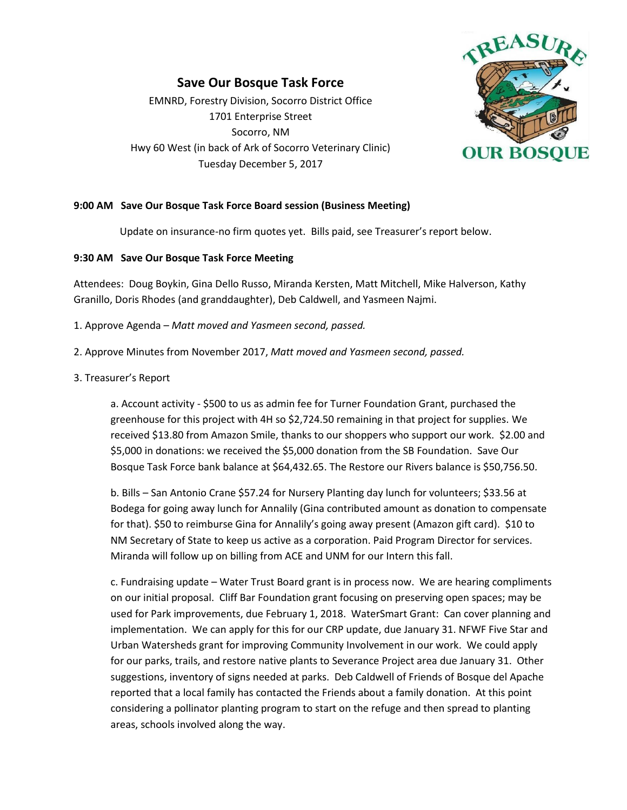# **Save Our Bosque Task Force**

EMNRD, Forestry Division, Socorro District Office 1701 Enterprise Street Socorro, NM Hwy 60 West (in back of Ark of Socorro Veterinary Clinic) Tuesday December 5, 2017



## **9:00 AM Save Our Bosque Task Force Board session (Business Meeting)**

Update on insurance-no firm quotes yet. Bills paid, see Treasurer's report below.

### **9:30 AM Save Our Bosque Task Force Meeting**

Attendees: Doug Boykin, Gina Dello Russo, Miranda Kersten, Matt Mitchell, Mike Halverson, Kathy Granillo, Doris Rhodes (and granddaughter), Deb Caldwell, and Yasmeen Najmi.

- 1. Approve Agenda *Matt moved and Yasmeen second, passed.*
- 2. Approve Minutes from November 2017, *Matt moved and Yasmeen second, passed.*
- 3. Treasurer's Report

a. Account activity - \$500 to us as admin fee for Turner Foundation Grant, purchased the greenhouse for this project with 4H so \$2,724.50 remaining in that project for supplies. We received \$13.80 from Amazon Smile, thanks to our shoppers who support our work. \$2.00 and \$5,000 in donations: we received the \$5,000 donation from the SB Foundation. Save Our Bosque Task Force bank balance at \$64,432.65. The Restore our Rivers balance is \$50,756.50.

b. Bills – San Antonio Crane \$57.24 for Nursery Planting day lunch for volunteers; \$33.56 at Bodega for going away lunch for Annalily (Gina contributed amount as donation to compensate for that). \$50 to reimburse Gina for Annalily's going away present (Amazon gift card). \$10 to NM Secretary of State to keep us active as a corporation. Paid Program Director for services. Miranda will follow up on billing from ACE and UNM for our Intern this fall.

c. Fundraising update – Water Trust Board grant is in process now. We are hearing compliments on our initial proposal. Cliff Bar Foundation grant focusing on preserving open spaces; may be used for Park improvements, due February 1, 2018. WaterSmart Grant: Can cover planning and implementation. We can apply for this for our CRP update, due January 31. NFWF Five Star and Urban Watersheds grant for improving Community Involvement in our work. We could apply for our parks, trails, and restore native plants to Severance Project area due January 31. Other suggestions, inventory of signs needed at parks. Deb Caldwell of Friends of Bosque del Apache reported that a local family has contacted the Friends about a family donation. At this point considering a pollinator planting program to start on the refuge and then spread to planting areas, schools involved along the way.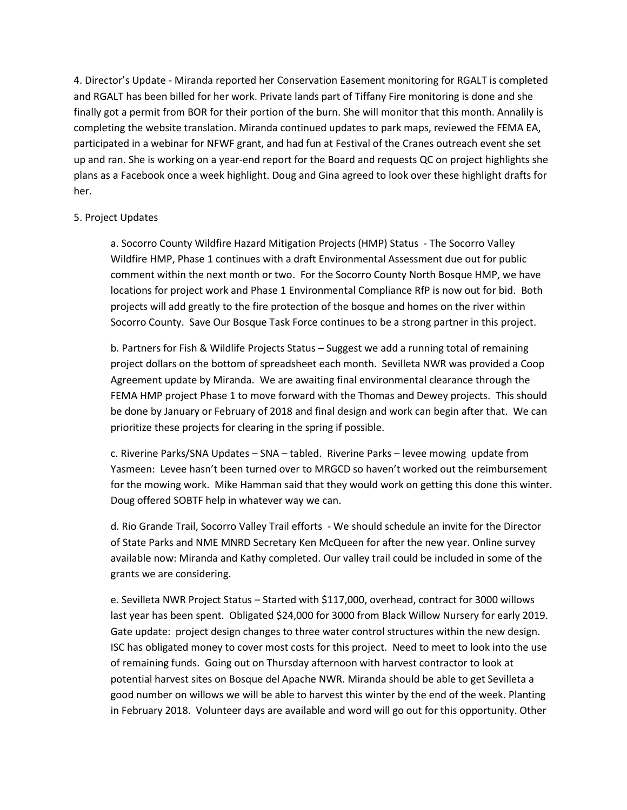4. Director's Update - Miranda reported her Conservation Easement monitoring for RGALT is completed and RGALT has been billed for her work. Private lands part of Tiffany Fire monitoring is done and she finally got a permit from BOR for their portion of the burn. She will monitor that this month. Annalily is completing the website translation. Miranda continued updates to park maps, reviewed the FEMA EA, participated in a webinar for NFWF grant, and had fun at Festival of the Cranes outreach event she set up and ran. She is working on a year-end report for the Board and requests QC on project highlights she plans as a Facebook once a week highlight. Doug and Gina agreed to look over these highlight drafts for her.

#### 5. Project Updates

a. Socorro County Wildfire Hazard Mitigation Projects (HMP) Status - The Socorro Valley Wildfire HMP, Phase 1 continues with a draft Environmental Assessment due out for public comment within the next month or two. For the Socorro County North Bosque HMP, we have locations for project work and Phase 1 Environmental Compliance RfP is now out for bid. Both projects will add greatly to the fire protection of the bosque and homes on the river within Socorro County. Save Our Bosque Task Force continues to be a strong partner in this project.

b. Partners for Fish & Wildlife Projects Status – Suggest we add a running total of remaining project dollars on the bottom of spreadsheet each month. Sevilleta NWR was provided a Coop Agreement update by Miranda. We are awaiting final environmental clearance through the FEMA HMP project Phase 1 to move forward with the Thomas and Dewey projects. This should be done by January or February of 2018 and final design and work can begin after that. We can prioritize these projects for clearing in the spring if possible.

c. Riverine Parks/SNA Updates – SNA – tabled. Riverine Parks – levee mowing update from Yasmeen: Levee hasn't been turned over to MRGCD so haven't worked out the reimbursement for the mowing work. Mike Hamman said that they would work on getting this done this winter. Doug offered SOBTF help in whatever way we can.

d. Rio Grande Trail, Socorro Valley Trail efforts - We should schedule an invite for the Director of State Parks and NME MNRD Secretary Ken McQueen for after the new year. Online survey available now: Miranda and Kathy completed. Our valley trail could be included in some of the grants we are considering.

e. Sevilleta NWR Project Status – Started with \$117,000, overhead, contract for 3000 willows last year has been spent. Obligated \$24,000 for 3000 from Black Willow Nursery for early 2019. Gate update: project design changes to three water control structures within the new design. ISC has obligated money to cover most costs for this project. Need to meet to look into the use of remaining funds. Going out on Thursday afternoon with harvest contractor to look at potential harvest sites on Bosque del Apache NWR. Miranda should be able to get Sevilleta a good number on willows we will be able to harvest this winter by the end of the week. Planting in February 2018. Volunteer days are available and word will go out for this opportunity. Other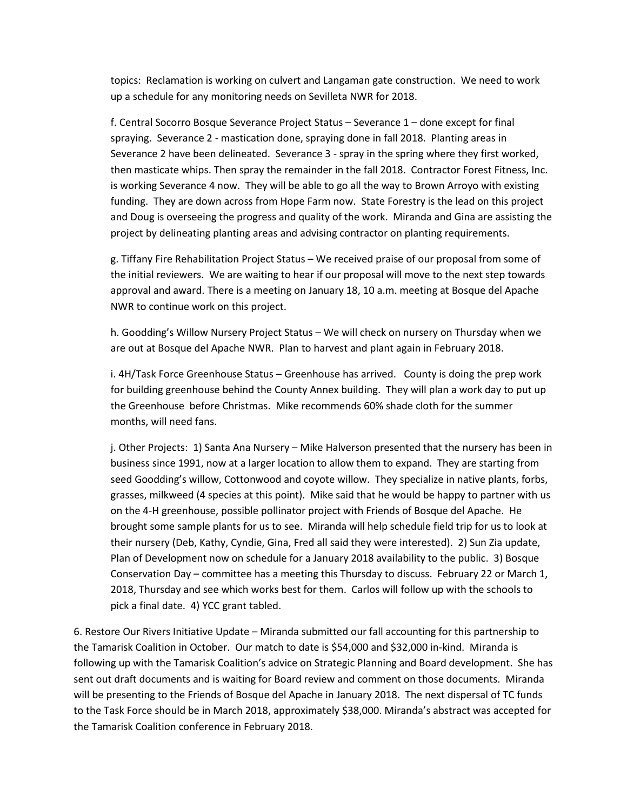topics: Reclamation is working on culvert and Langaman gate construction. We need to work up a schedule for any monitoring needs on Sevilleta NWR for 2018.

f. Central Socorro Bosque Severance Project Status – Severance 1 – done except for final spraying. Severance 2 - mastication done, spraying done in fall 2018. Planting areas in Severance 2 have been delineated. Severance 3 - spray in the spring where they first worked, then masticate whips. Then spray the remainder in the fall 2018. Contractor Forest Fitness, Inc. is working Severance 4 now. They will be able to go all the way to Brown Arroyo with existing funding. They are down across from Hope Farm now. State Forestry is the lead on this project and Doug is overseeing the progress and quality of the work. Miranda and Gina are assisting the project by delineating planting areas and advising contractor on planting requirements.

g. Tiffany Fire Rehabilitation Project Status – We received praise of our proposal from some of the initial reviewers. We are waiting to hear if our proposal will move to the next step towards approval and award. There is a meeting on January 18, 10 a.m. meeting at Bosque del Apache NWR to continue work on this project.

h. Goodding's Willow Nursery Project Status – We will check on nursery on Thursday when we are out at Bosque del Apache NWR. Plan to harvest and plant again in February 2018.

i. 4H/Task Force Greenhouse Status – Greenhouse has arrived. County is doing the prep work for building greenhouse behind the County Annex building. They will plan a work day to put up the Greenhouse before Christmas. Mike recommends 60% shade cloth for the summer months, will need fans.

j. Other Projects: 1) Santa Ana Nursery – Mike Halverson presented that the nursery has been in business since 1991, now at a larger location to allow them to expand. They are starting from seed Goodding's willow, Cottonwood and coyote willow. They specialize in native plants, forbs, grasses, milkweed (4 species at this point). Mike said that he would be happy to partner with us on the 4-H greenhouse, possible pollinator project with Friends of Bosque del Apache. He brought some sample plants for us to see. Miranda will help schedule field trip for us to look at their nursery (Deb, Kathy, Cyndie, Gina, Fred all said they were interested). 2) Sun Zia update, Plan of Development now on schedule for a January 2018 availability to the public. 3) Bosque Conservation Day – committee has a meeting this Thursday to discuss. February 22 or March 1, 2018, Thursday and see which works best for them. Carlos will follow up with the schools to pick a final date. 4) YCC grant tabled.

6. Restore Our Rivers Initiative Update – Miranda submitted our fall accounting for this partnership to the Tamarisk Coalition in October. Our match to date is \$54,000 and \$32,000 in-kind. Miranda is following up with the Tamarisk Coalition's advice on Strategic Planning and Board development. She has sent out draft documents and is waiting for Board review and comment on those documents. Miranda will be presenting to the Friends of Bosque del Apache in January 2018. The next dispersal of TC funds to the Task Force should be in March 2018, approximately \$38,000. Miranda's abstract was accepted for the Tamarisk Coalition conference in February 2018.